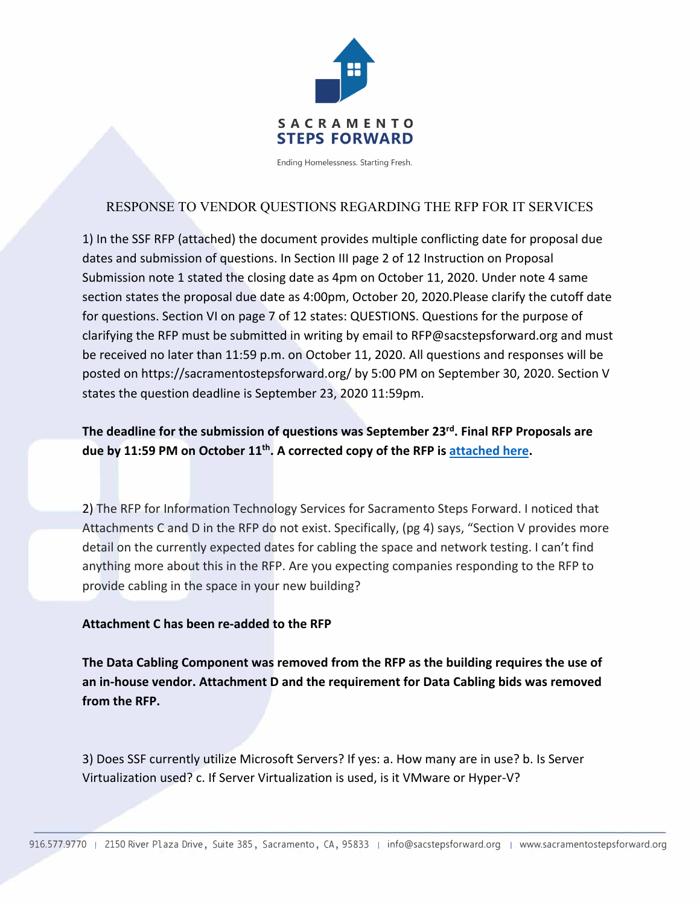

Ending Homelessness. Starting Fresh.

# RESPONSE TO VENDOR QUESTIONS REGARDING THE RFP FOR IT SERVICES

1) In the SSF RFP (attached) the document provides multiple conflicting date for proposal due dates and submission of questions. In Section III page 2 of 12 Instruction on Proposal Submission note 1 stated the closing date as 4pm on October 11, 2020. Under note 4 same section states the proposal due date as 4:00pm, October 20, 2020.Please clarify the cutoff date for questions. Section VI on page 7 of 12 states: QUESTIONS. Questions for the purpose of clarifying the RFP must be submitted in writing by email to RFP@sacstepsforward.org and must be received no later than 11:59 p.m. on October 11, 2020. All questions and responses will be posted on https://sacramentostepsforward.org/ by 5:00 PM on September 30, 2020. Section V states the question deadline is September 23, 2020 11:59pm.

## **The deadline for the submission of questions was September 23rd. Final RFP Proposals are due by 11:59 PM on October 11th. A corrected copy of the RFP is attached here.**

2) The RFP for Information Technology Services for Sacramento Steps Forward. I noticed that Attachments C and D in the RFP do not exist. Specifically, (pg 4) says, "Section V provides more detail on the currently expected dates for cabling the space and network testing. I can't find anything more about this in the RFP. Are you expecting companies responding to the RFP to provide cabling in the space in your new building?

### **Attachment C has been re-added to the RFP**

**The Data Cabling Component was removed from the RFP as the building requires the use of an in-house vendor. Attachment D and the requirement for Data Cabling bids was removed from the RFP.** 

3) Does SSF currently utilize Microsoft Servers? If yes: a. How many are in use? b. Is Server Virtualization used? c. If Server Virtualization is used, is it VMware or Hyper-V?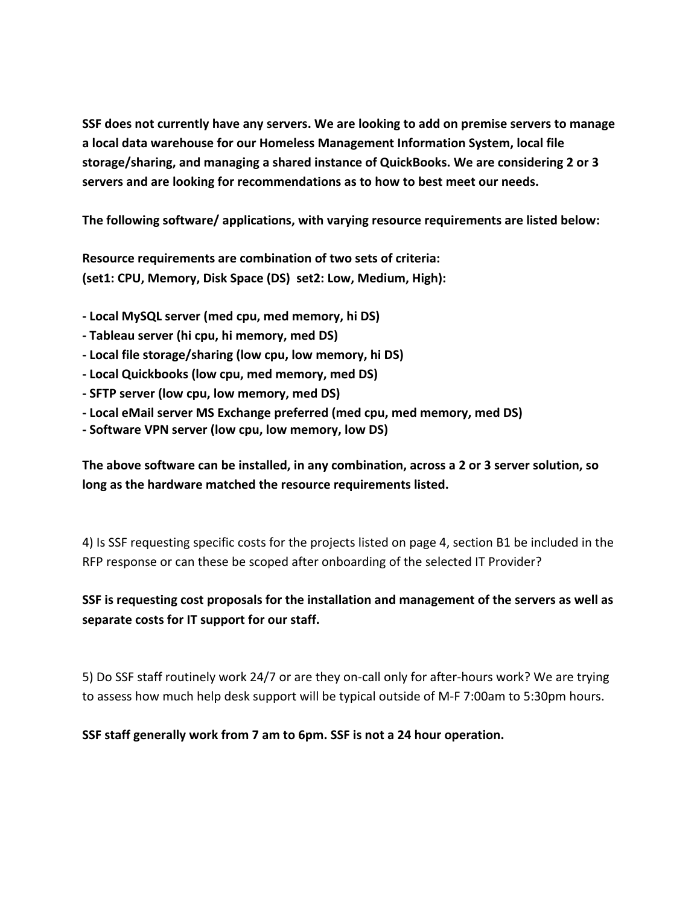**SSF does not currently have any servers. We are looking to add on premise servers to manage a local data warehouse for our Homeless Management Information System, local file storage/sharing, and managing a shared instance of QuickBooks. We are considering 2 or 3 servers and are looking for recommendations as to how to best meet our needs.**

**The following software/ applications, with varying resource requirements are listed below:** 

**Resource requirements are combination of two sets of criteria: (set1: CPU, Memory, Disk Space (DS) set2: Low, Medium, High):**

- **- Local MySQL server (med cpu, med memory, hi DS)**
- **- Tableau server (hi cpu, hi memory, med DS)**
- **- Local file storage/sharing (low cpu, low memory, hi DS)**
- **- Local Quickbooks (low cpu, med memory, med DS)**
- **- SFTP server (low cpu, low memory, med DS)**
- **- Local eMail server MS Exchange preferred (med cpu, med memory, med DS)**
- **- Software VPN server (low cpu, low memory, low DS)**

**The above software can be installed, in any combination, across a 2 or 3 server solution, so long as the hardware matched the resource requirements listed.**

4) Is SSF requesting specific costs for the projects listed on page 4, section B1 be included in the RFP response or can these be scoped after onboarding of the selected IT Provider?

### **SSF is requesting cost proposals for the installation and management of the servers as well as separate costs for IT support for our staff.**

5) Do SSF staff routinely work 24/7 or are they on-call only for after-hours work? We are trying to assess how much help desk support will be typical outside of M-F 7:00am to 5:30pm hours.

**SSF staff generally work from 7 am to 6pm. SSF is not a 24 hour operation.**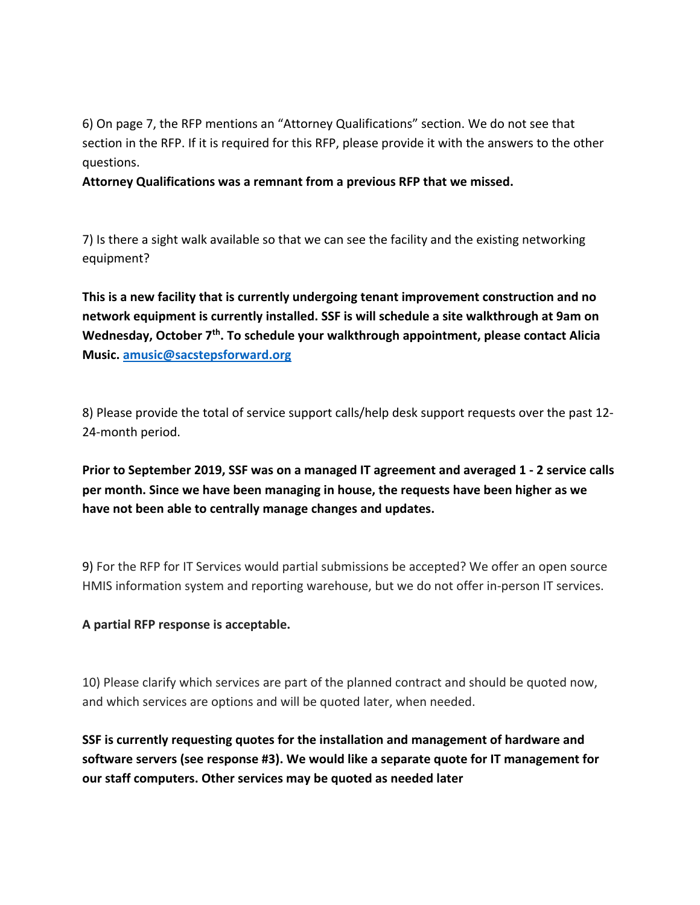6) On page 7, the RFP mentions an "Attorney Qualifications" section. We do not see that section in the RFP. If it is required for this RFP, please provide it with the answers to the other questions.

**Attorney Qualifications was a remnant from a previous RFP that we missed.**

7) Is there a sight walk available so that we can see the facility and the existing networking equipment?

**This is a new facility that is currently undergoing tenant improvement construction and no network equipment is currently installed. SSF is will schedule a site walkthrough at 9am on**  Wednesday, October 7<sup>th</sup>. To schedule your walkthrough appointment, please contact Alicia **Music. amusic@sacstepsforward.org**

8) Please provide the total of service support calls/help desk support requests over the past 12- 24-month period.

**Prior to September 2019, SSF was on a managed IT agreement and averaged 1 - 2 service calls per month. Since we have been managing in house, the requests have been higher as we have not been able to centrally manage changes and updates.**

9) For the RFP for IT Services would partial submissions be accepted? We offer an open source HMIS information system and reporting warehouse, but we do not offer in-person IT services.

**A partial RFP response is acceptable.** 

10) Please clarify which services are part of the planned contract and should be quoted now, and which services are options and will be quoted later, when needed.

**SSF is currently requesting quotes for the installation and management of hardware and software servers (see response #3). We would like a separate quote for IT management for our staff computers. Other services may be quoted as needed later**